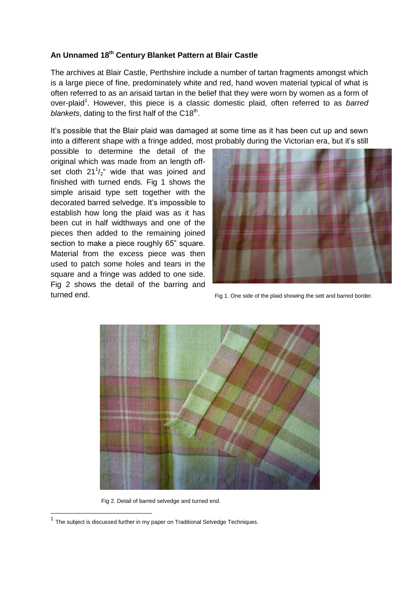## **An Unnamed 18th Century Blanket Pattern at Blair Castle**

The archives at Blair Castle, Perthshire include a number of tartan fragments amongst which is a large piece of fine, predominately white and red, hand woven material typical of what is often referred to as an arisaid tartan in the belief that they were worn by women as a form of over-plaid<sup>1</sup>. However, this piece is a classic domestic plaid, often referred to as barred blankets, dating to the first half of the C18<sup>th</sup>.

It's possible that the Blair plaid was damaged at some time as it has been cut up and sewn into a different shape with a fringe added, most probably during the Victorian era, but it's still

possible to determine the detail of the original which was made from an length offset cloth  $21^{1}/2^{4}$  wide that was joined and finished with turned ends. Fig 1 shows the simple arisaid type sett together with the decorated barred selvedge. It's impossible to establish how long the plaid was as it has been cut in half widthways and one of the pieces then added to the remaining joined section to make a piece roughly 65" square. Material from the excess piece was then used to patch some holes and tears in the square and a fringe was added to one side. Fig 2 shows the detail of the barring and turned end.



Fig 1. One side of the plaid showing the sett and barred border.



Fig 2. Detail of barred selvedge and turned end.

-

 $1$  The subject is discussed further in my paper on Traditional Selvedge Techniques.